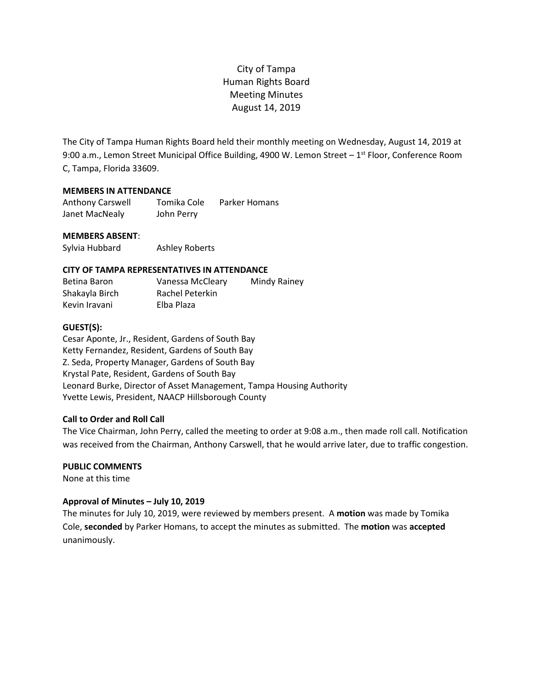The City of Tampa Human Rights Board held their monthly meeting on Wednesday, August 14, 2019 at 9:00 a.m., Lemon Street Municipal Office Building, 4900 W. Lemon Street - 1<sup>st</sup> Floor, Conference Room C, Tampa, Florida 33609.

## **MEMBERS IN ATTENDANCE**

Anthony Carswell Tomika Cole Parker Homans Janet MacNealy John Perry

# **MEMBERS ABSENT**:

Sylvia Hubbard Ashley Roberts

## **CITY OF TAMPA REPRESENTATIVES IN ATTENDANCE**

| Betina Baron   | Vanessa McCleary | Mindy Rainey |
|----------------|------------------|--------------|
| Shakayla Birch | Rachel Peterkin  |              |
| Kevin Iravani  | Elba Plaza       |              |

## **GUEST(S):**

Cesar Aponte, Jr., Resident, Gardens of South Bay Ketty Fernandez, Resident, Gardens of South Bay Z. Seda, Property Manager, Gardens of South Bay Krystal Pate, Resident, Gardens of South Bay Leonard Burke, Director of Asset Management, Tampa Housing Authority Yvette Lewis, President, NAACP Hillsborough County

# **Call to Order and Roll Call**

The Vice Chairman, John Perry, called the meeting to order at 9:08 a.m., then made roll call. Notification was received from the Chairman, Anthony Carswell, that he would arrive later, due to traffic congestion.

#### **PUBLIC COMMENTS**

None at this time

#### **Approval of Minutes – July 10, 2019**

The minutes for July 10, 2019, were reviewed by members present. A **motion** was made by Tomika Cole, **seconded** by Parker Homans, to accept the minutes as submitted. The **motion** was **accepted** unanimously.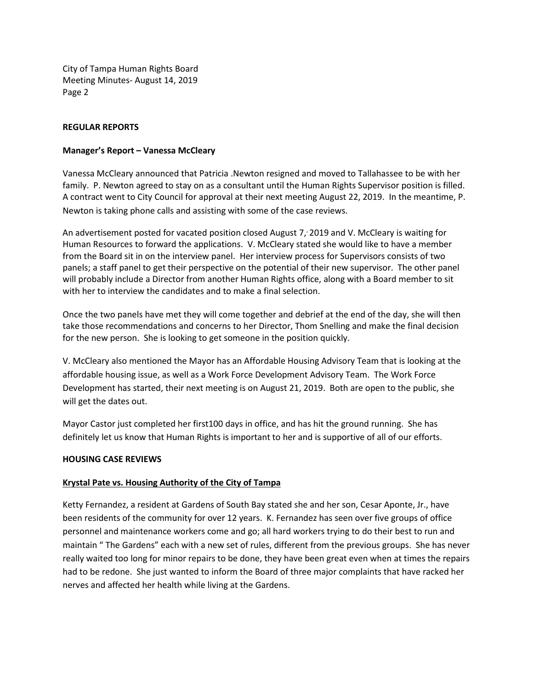## **REGULAR REPORTS**

#### **Manager's Report – Vanessa McCleary**

Vanessa McCleary announced that Patricia .Newton resigned and moved to Tallahassee to be with her family. P. Newton agreed to stay on as a consultant until the Human Rights Supervisor position is filled. A contract went to City Council for approval at their next meeting August 22, 2019. In the meantime, P. Newton is taking phone calls and assisting with some of the case reviews.

An advertisement posted for vacated position closed August 7, 2019 and V. McCleary is waiting for Human Resources to forward the applications. V. McCleary stated she would like to have a member from the Board sit in on the interview panel. Her interview process for Supervisors consists of two panels; a staff panel to get their perspective on the potential of their new supervisor. The other panel will probably include a Director from another Human Rights office, along with a Board member to sit with her to interview the candidates and to make a final selection.

Once the two panels have met they will come together and debrief at the end of the day, she will then take those recommendations and concerns to her Director, Thom Snelling and make the final decision for the new person. She is looking to get someone in the position quickly.

V. McCleary also mentioned the Mayor has an Affordable Housing Advisory Team that is looking at the affordable housing issue, as well as a Work Force Development Advisory Team. The Work Force Development has started, their next meeting is on August 21, 2019. Both are open to the public, she will get the dates out.

Mayor Castor just completed her first100 days in office, and has hit the ground running. She has definitely let us know that Human Rights is important to her and is supportive of all of our efforts.

#### **HOUSING CASE REVIEWS**

# **Krystal Pate vs. Housing Authority of the City of Tampa**

Ketty Fernandez, a resident at Gardens of South Bay stated she and her son, Cesar Aponte, Jr., have been residents of the community for over 12 years. K. Fernandez has seen over five groups of office personnel and maintenance workers come and go; all hard workers trying to do their best to run and maintain " The Gardens" each with a new set of rules, different from the previous groups. She has never really waited too long for minor repairs to be done, they have been great even when at times the repairs had to be redone. She just wanted to inform the Board of three major complaints that have racked her nerves and affected her health while living at the Gardens.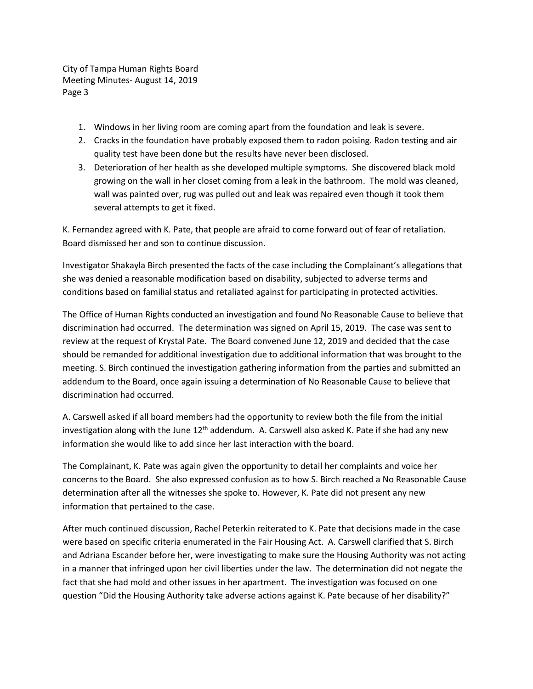- 1. Windows in her living room are coming apart from the foundation and leak is severe.
- 2. Cracks in the foundation have probably exposed them to radon poising. Radon testing and air quality test have been done but the results have never been disclosed.
- 3. Deterioration of her health as she developed multiple symptoms. She discovered black mold growing on the wall in her closet coming from a leak in the bathroom. The mold was cleaned, wall was painted over, rug was pulled out and leak was repaired even though it took them several attempts to get it fixed.

K. Fernandez agreed with K. Pate, that people are afraid to come forward out of fear of retaliation. Board dismissed her and son to continue discussion.

Investigator Shakayla Birch presented the facts of the case including the Complainant's allegations that she was denied a reasonable modification based on disability, subjected to adverse terms and conditions based on familial status and retaliated against for participating in protected activities.

The Office of Human Rights conducted an investigation and found No Reasonable Cause to believe that discrimination had occurred. The determination was signed on April 15, 2019. The case was sent to review at the request of Krystal Pate. The Board convened June 12, 2019 and decided that the case should be remanded for additional investigation due to additional information that was brought to the meeting. S. Birch continued the investigation gathering information from the parties and submitted an addendum to the Board, once again issuing a determination of No Reasonable Cause to believe that discrimination had occurred.

A. Carswell asked if all board members had the opportunity to review both the file from the initial investigation along with the June  $12<sup>th</sup>$  addendum. A. Carswell also asked K. Pate if she had any new information she would like to add since her last interaction with the board.

The Complainant, K. Pate was again given the opportunity to detail her complaints and voice her concerns to the Board. She also expressed confusion as to how S. Birch reached a No Reasonable Cause determination after all the witnesses she spoke to. However, K. Pate did not present any new information that pertained to the case.

After much continued discussion, Rachel Peterkin reiterated to K. Pate that decisions made in the case were based on specific criteria enumerated in the Fair Housing Act. A. Carswell clarified that S. Birch and Adriana Escander before her, were investigating to make sure the Housing Authority was not acting in a manner that infringed upon her civil liberties under the law. The determination did not negate the fact that she had mold and other issues in her apartment. The investigation was focused on one question "Did the Housing Authority take adverse actions against K. Pate because of her disability?"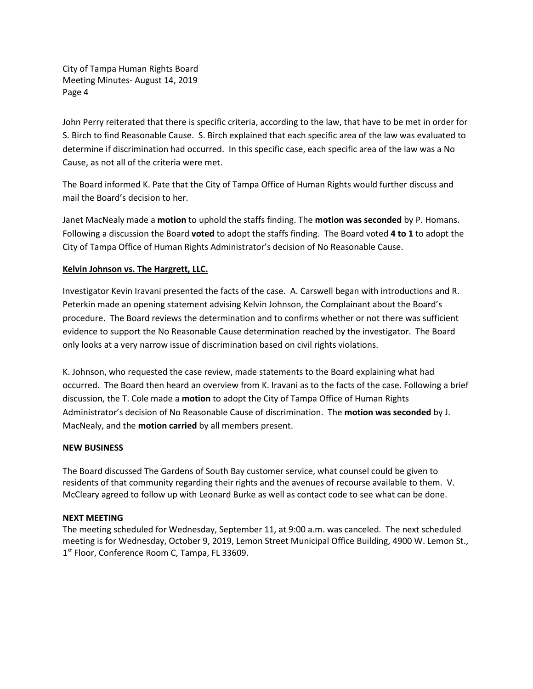John Perry reiterated that there is specific criteria, according to the law, that have to be met in order for S. Birch to find Reasonable Cause. S. Birch explained that each specific area of the law was evaluated to determine if discrimination had occurred. In this specific case, each specific area of the law was a No Cause, as not all of the criteria were met.

The Board informed K. Pate that the City of Tampa Office of Human Rights would further discuss and mail the Board's decision to her.

Janet MacNealy made a **motion** to uphold the staffs finding. The **motion was seconded** by P. Homans. Following a discussion the Board **voted** to adopt the staffs finding. The Board voted **4 to 1** to adopt the City of Tampa Office of Human Rights Administrator's decision of No Reasonable Cause.

# **Kelvin Johnson vs. The Hargrett, LLC.**

Investigator Kevin Iravani presented the facts of the case. A. Carswell began with introductions and R. Peterkin made an opening statement advising Kelvin Johnson, the Complainant about the Board's procedure. The Board reviews the determination and to confirms whether or not there was sufficient evidence to support the No Reasonable Cause determination reached by the investigator. The Board only looks at a very narrow issue of discrimination based on civil rights violations.

K. Johnson, who requested the case review, made statements to the Board explaining what had occurred. The Board then heard an overview from K. Iravani as to the facts of the case. Following a brief discussion, the T. Cole made a **motion** to adopt the City of Tampa Office of Human Rights Administrator's decision of No Reasonable Cause of discrimination. The **motion was seconded** by J. MacNealy, and the **motion carried** by all members present.

# **NEW BUSINESS**

The Board discussed The Gardens of South Bay customer service, what counsel could be given to residents of that community regarding their rights and the avenues of recourse available to them. V. McCleary agreed to follow up with Leonard Burke as well as contact code to see what can be done.

# **NEXT MEETING**

The meeting scheduled for Wednesday, September 11, at 9:00 a.m. was canceled. The next scheduled meeting is for Wednesday, October 9, 2019, Lemon Street Municipal Office Building, 4900 W. Lemon St., 1<sup>st</sup> Floor, Conference Room C, Tampa, FL 33609.